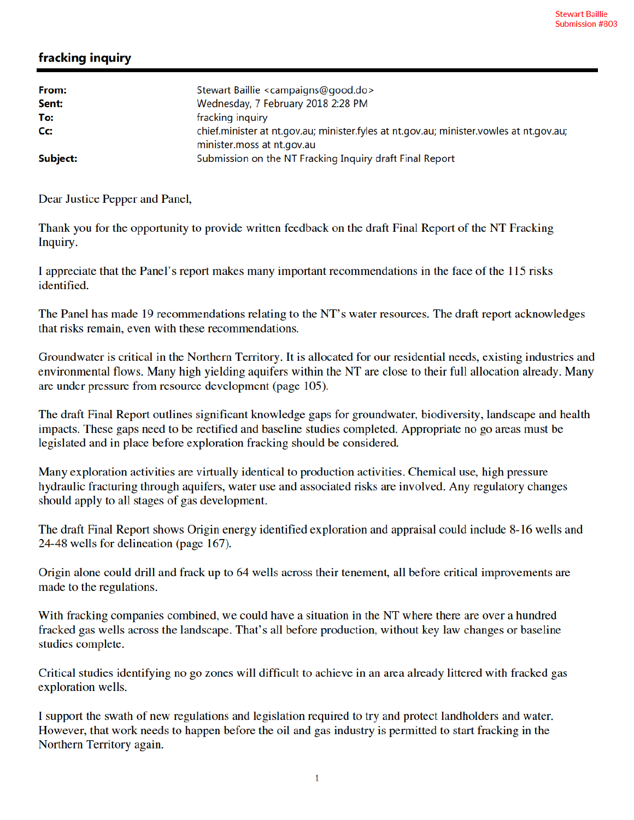## fracking inquiry

| From:<br>Sent: | Stewart Baillie <campaigns@good.do><br/>Wednesday, 7 February 2018 2:28 PM</campaigns@good.do>                                            |
|----------------|-------------------------------------------------------------------------------------------------------------------------------------------|
| To:<br>Cc:     | fracking inquiry<br>chief.minister at nt.gov.au; minister.fyles at nt.gov.au; minister.vowles at nt.gov.au;<br>minister.moss at nt.gov.au |
| Subject:       | Submission on the NT Fracking Inquiry draft Final Report                                                                                  |

Dear Justice Pepper and Panel,

Thank you for the opportunity to provide written feedback on the draft Final Report of the NT Fracking Inquiry.

I appreciate that the Panel's report makes many important recommendations in the face of the 115 risks identified.

The Panel has made 19 recommendations relating to the NT's water resources. The draft report acknowledges that risks remain, even with these recommendations.

Groundwater is critical in the Northern Territory. It is allocated for our residential needs, existing industries and environmental flows. Many high yielding aquifers within the NT are close to their full allocation already. Many are under pressure from resource development (page 105).

The draft Final Report outlines significant knowledge gaps for groundwater, biodiversity, landscape and health impacts. These gaps need to be rectified and baseline studies completed. Appropriate no go areas must be legislated and in place before exploration fracking should be considered.

Many exploration activities are virtually identical to production activities. Chemical use, high pressure hydraulic fracturing through aquifers, water use and associated risks are involved. Any regulatory changes should apply to all stages of gas development.

The draft Final Report shows Origin energy identified exploration and appraisal could include 8-16 wells and 24-48 wells for delineation (page 167).

Origin alone could drill and frack up to 64 wells across their tenement, all before critical improvements are made to the regulations.

With fracking companies combined, we could have a situation in the NT where there are over a hundred fracked gas wells across the landscape. That's all before production, without key law changes or baseline studies complete.

Critical studies identifying no go zones will difficult to achieve in an area already littered with fracked gas exploration wells.

I support the swath of new regulations and legislation required to try and protect landholders and water. However, that work needs to happen before the oil and gas industry is permitted to start fracking in the Northern Territory again.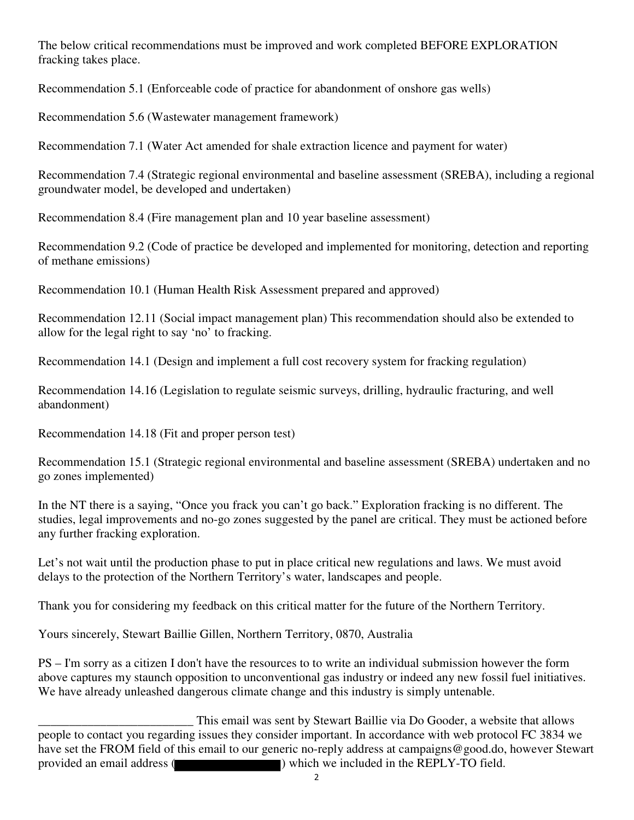The below critical recommendations must be improved and work completed BEFORE EXPLORATION fracking takes place.

Recommendation 5.1 (Enforceable code of practice for abandonment of onshore gas wells)

Recommendation 5.6 (Wastewater management framework)

Recommendation 7.1 (Water Act amended for shale extraction licence and payment for water)

Recommendation 7.4 (Strategic regional environmental and baseline assessment (SREBA), including a regional groundwater model, be developed and undertaken)

Recommendation 8.4 (Fire management plan and 10 year baseline assessment)

Recommendation 9.2 (Code of practice be developed and implemented for monitoring, detection and reporting of methane emissions)

Recommendation 10.1 (Human Health Risk Assessment prepared and approved)

Recommendation 12.11 (Social impact management plan) This recommendation should also be extended to allow for the legal right to say 'no' to fracking.

Recommendation 14.1 (Design and implement a full cost recovery system for fracking regulation)

Recommendation 14.16 (Legislation to regulate seismic surveys, drilling, hydraulic fracturing, and well abandonment)

Recommendation 14.18 (Fit and proper person test)

Recommendation 15.1 (Strategic regional environmental and baseline assessment (SREBA) undertaken and no go zones implemented)

In the NT there is a saying, "Once you frack you can't go back." Exploration fracking is no different. The studies, legal improvements and no-go zones suggested by the panel are critical. They must be actioned before any further fracking exploration.

Let's not wait until the production phase to put in place critical new regulations and laws. We must avoid delays to the protection of the Northern Territory's water, landscapes and people.

Thank you for considering my feedback on this critical matter for the future of the Northern Territory.

Yours sincerely, Stewart Baillie Gillen, Northern Territory, 0870, Australia

PS – I'm sorry as a citizen I don't have the resources to to write an individual submission however the form above captures my staunch opposition to unconventional gas industry or indeed any new fossil fuel initiatives. We have already unleashed dangerous climate change and this industry is simply untenable.

This email was sent by Stewart Baillie via Do Gooder, a website that allows<br>people to contact you regarding issues they consider important. In accordance with web protocol FC 3834 we have set the FROM field of this email to our generic no-reply address at campaigns@good.do, however Stewart provided an email address ( ) which we included in the REPLY-TO field.